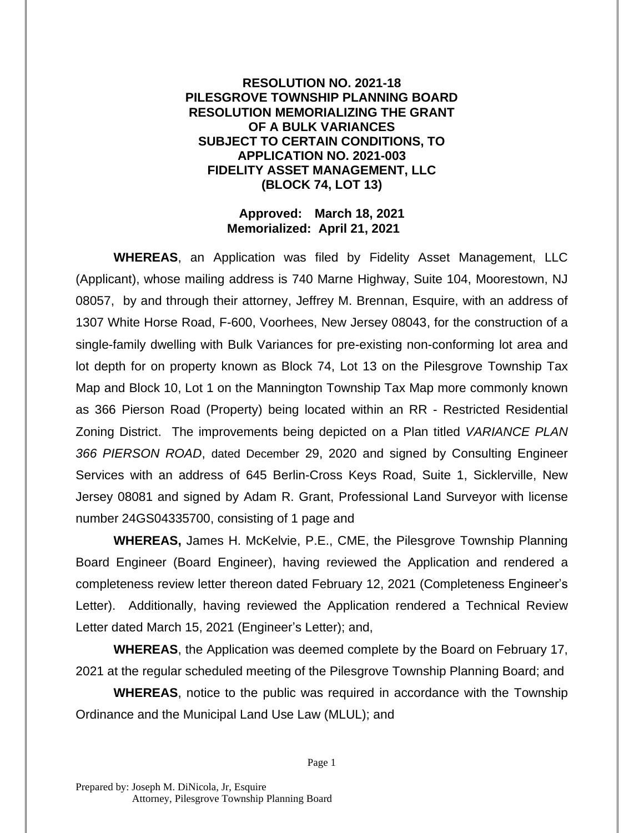## **RESOLUTION NO. 2021-18 PILESGROVE TOWNSHIP PLANNING BOARD RESOLUTION MEMORIALIZING THE GRANT OF A BULK VARIANCES SUBJECT TO CERTAIN CONDITIONS, TO APPLICATION NO. 2021-003 FIDELITY ASSET MANAGEMENT, LLC (BLOCK 74, LOT 13)**

## **Approved: March 18, 2021 Memorialized: April 21, 2021**

**WHEREAS**, an Application was filed by Fidelity Asset Management, LLC (Applicant), whose mailing address is 740 Marne Highway, Suite 104, Moorestown, NJ 08057, by and through their attorney, Jeffrey M. Brennan, Esquire, with an address of 1307 White Horse Road, F-600, Voorhees, New Jersey 08043, for the construction of a single-family dwelling with Bulk Variances for pre-existing non-conforming lot area and lot depth for on property known as Block 74, Lot 13 on the Pilesgrove Township Tax Map and Block 10, Lot 1 on the Mannington Township Tax Map more commonly known as 366 Pierson Road (Property) being located within an RR - Restricted Residential Zoning District. The improvements being depicted on a Plan titled *VARIANCE PLAN 366 PIERSON ROAD*, dated December 29, 2020 and signed by Consulting Engineer Services with an address of 645 Berlin-Cross Keys Road, Suite 1, Sicklerville, New Jersey 08081 and signed by Adam R. Grant, Professional Land Surveyor with license number 24GS04335700, consisting of 1 page and

**WHEREAS,** James H. McKelvie, P.E., CME, the Pilesgrove Township Planning Board Engineer (Board Engineer), having reviewed the Application and rendered a completeness review letter thereon dated February 12, 2021 (Completeness Engineer's Letter). Additionally, having reviewed the Application rendered a Technical Review Letter dated March 15, 2021 (Engineer's Letter); and,

**WHEREAS**, the Application was deemed complete by the Board on February 17, 2021 at the regular scheduled meeting of the Pilesgrove Township Planning Board; and

**WHEREAS**, notice to the public was required in accordance with the Township Ordinance and the Municipal Land Use Law (MLUL); and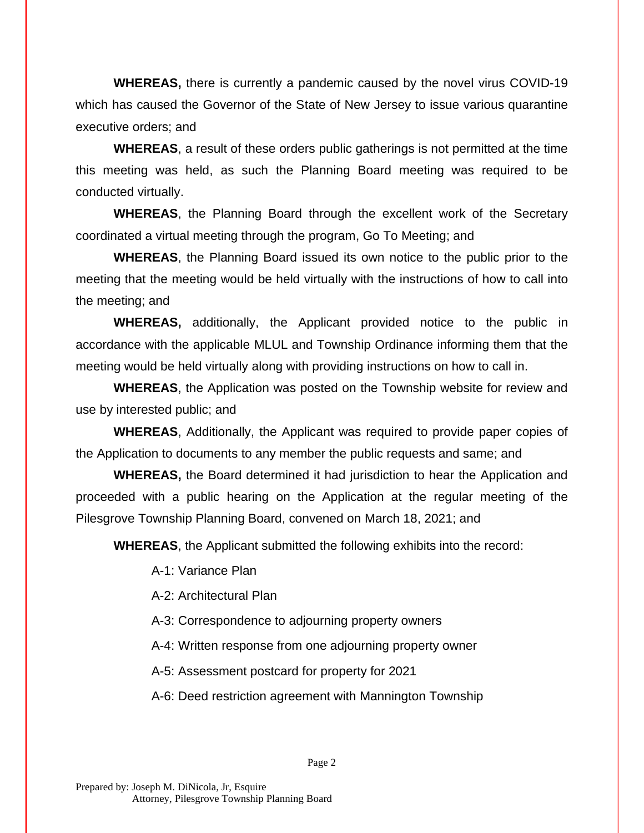**WHEREAS,** there is currently a pandemic caused by the novel virus COVID-19 which has caused the Governor of the State of New Jersey to issue various quarantine executive orders; and

**WHEREAS**, a result of these orders public gatherings is not permitted at the time this meeting was held, as such the Planning Board meeting was required to be conducted virtually.

**WHEREAS**, the Planning Board through the excellent work of the Secretary coordinated a virtual meeting through the program, Go To Meeting; and

**WHEREAS**, the Planning Board issued its own notice to the public prior to the meeting that the meeting would be held virtually with the instructions of how to call into the meeting; and

**WHEREAS,** additionally, the Applicant provided notice to the public in accordance with the applicable MLUL and Township Ordinance informing them that the meeting would be held virtually along with providing instructions on how to call in.

**WHEREAS**, the Application was posted on the Township website for review and use by interested public; and

**WHEREAS**, Additionally, the Applicant was required to provide paper copies of the Application to documents to any member the public requests and same; and

**WHEREAS,** the Board determined it had jurisdiction to hear the Application and proceeded with a public hearing on the Application at the regular meeting of the Pilesgrove Township Planning Board, convened on March 18, 2021; and

**WHEREAS**, the Applicant submitted the following exhibits into the record:

A-1: Variance Plan

A-2: Architectural Plan

A-3: Correspondence to adjourning property owners

A-4: Written response from one adjourning property owner

A-5: Assessment postcard for property for 2021

A-6: Deed restriction agreement with Mannington Township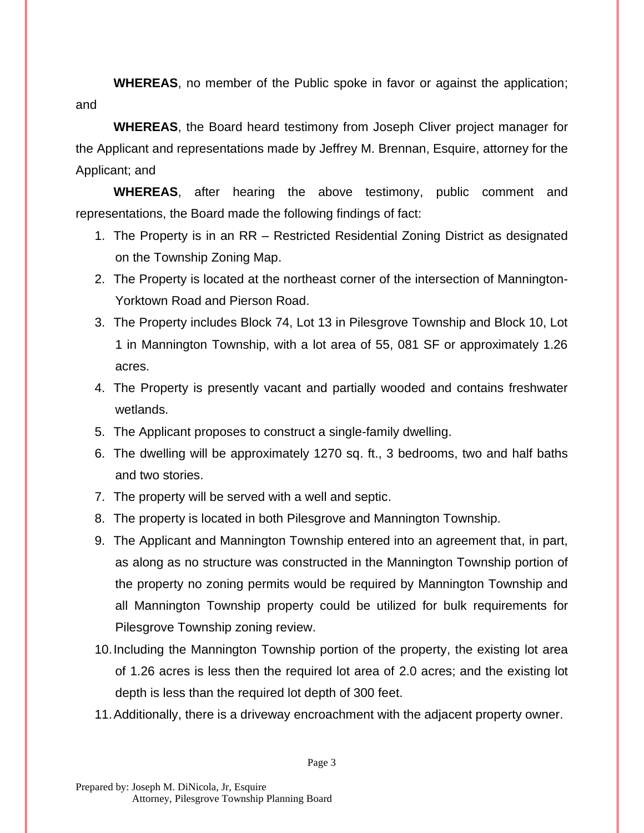**WHEREAS**, no member of the Public spoke in favor or against the application; and

**WHEREAS**, the Board heard testimony from Joseph Cliver project manager for the Applicant and representations made by Jeffrey M. Brennan, Esquire, attorney for the Applicant; and

**WHEREAS**, after hearing the above testimony, public comment and representations, the Board made the following findings of fact:

- 1. The Property is in an RR Restricted Residential Zoning District as designated on the Township Zoning Map.
- 2. The Property is located at the northeast corner of the intersection of Mannington-Yorktown Road and Pierson Road.
- 3. The Property includes Block 74, Lot 13 in Pilesgrove Township and Block 10, Lot 1 in Mannington Township, with a lot area of 55, 081 SF or approximately 1.26 acres.
- 4. The Property is presently vacant and partially wooded and contains freshwater wetlands.
- 5. The Applicant proposes to construct a single-family dwelling.
- 6. The dwelling will be approximately 1270 sq. ft., 3 bedrooms, two and half baths and two stories.
- 7. The property will be served with a well and septic.
- 8. The property is located in both Pilesgrove and Mannington Township.
- 9. The Applicant and Mannington Township entered into an agreement that, in part, as along as no structure was constructed in the Mannington Township portion of the property no zoning permits would be required by Mannington Township and all Mannington Township property could be utilized for bulk requirements for Pilesgrove Township zoning review.
- 10.Including the Mannington Township portion of the property, the existing lot area of 1.26 acres is less then the required lot area of 2.0 acres; and the existing lot depth is less than the required lot depth of 300 feet.
- 11.Additionally, there is a driveway encroachment with the adjacent property owner.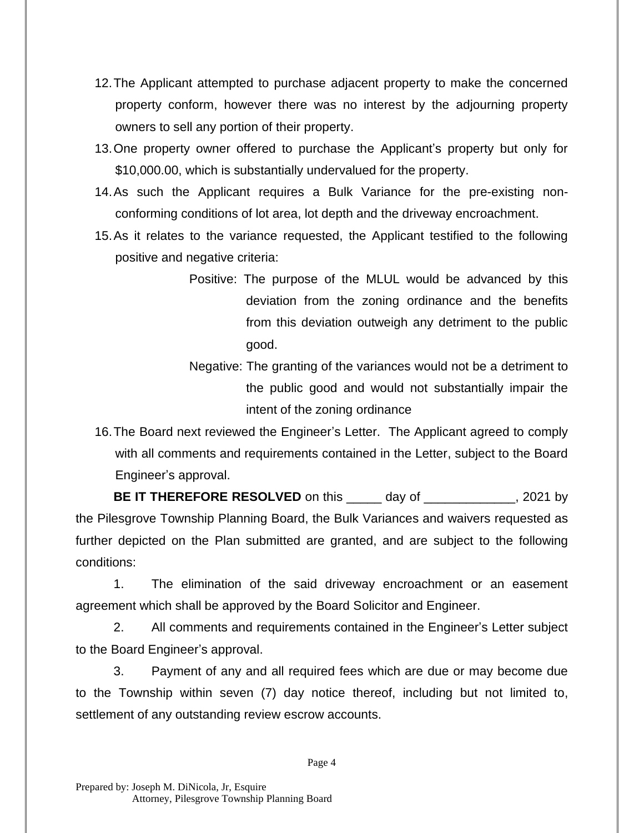- 12.The Applicant attempted to purchase adjacent property to make the concerned property conform, however there was no interest by the adjourning property owners to sell any portion of their property.
- 13.One property owner offered to purchase the Applicant's property but only for \$10,000.00, which is substantially undervalued for the property.
- 14.As such the Applicant requires a Bulk Variance for the pre-existing nonconforming conditions of lot area, lot depth and the driveway encroachment.
- 15.As it relates to the variance requested, the Applicant testified to the following positive and negative criteria:
	- Positive: The purpose of the MLUL would be advanced by this deviation from the zoning ordinance and the benefits from this deviation outweigh any detriment to the public good.
	- Negative: The granting of the variances would not be a detriment to the public good and would not substantially impair the intent of the zoning ordinance
- 16.The Board next reviewed the Engineer's Letter. The Applicant agreed to comply with all comments and requirements contained in the Letter, subject to the Board Engineer's approval.

**BE IT THEREFORE RESOLVED** on this \_\_\_\_\_ day of \_\_\_\_\_\_\_\_\_\_\_\_\_, 2021 by the Pilesgrove Township Planning Board, the Bulk Variances and waivers requested as further depicted on the Plan submitted are granted, and are subject to the following conditions:

1. The elimination of the said driveway encroachment or an easement agreement which shall be approved by the Board Solicitor and Engineer.

2. All comments and requirements contained in the Engineer's Letter subject to the Board Engineer's approval.

3. Payment of any and all required fees which are due or may become due to the Township within seven (7) day notice thereof, including but not limited to, settlement of any outstanding review escrow accounts.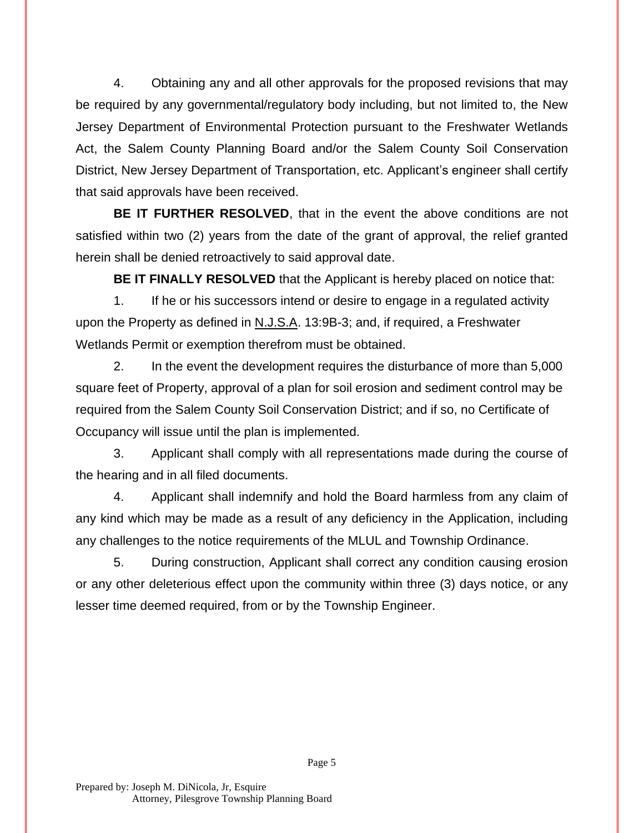4. Obtaining any and all other approvals for the proposed revisions that may be required by any governmental/regulatory body including, but not limited to, the New Jersey Department of Environmental Protection pursuant to the Freshwater Wetlands Act, the Salem County Planning Board and/or the Salem County Soil Conservation District, New Jersey Department of Transportation, etc. Applicant's engineer shall certify that said approvals have been received.

**BE IT FURTHER RESOLVED**, that in the event the above conditions are not satisfied within two (2) years from the date of the grant of approval, the relief granted herein shall be denied retroactively to said approval date.

**BE IT FINALLY RESOLVED** that the Applicant is hereby placed on notice that:

1. If he or his successors intend or desire to engage in a regulated activity upon the Property as defined in N.J.S.A. 13:9B-3; and, if required, a Freshwater Wetlands Permit or exemption therefrom must be obtained.

2. In the event the development requires the disturbance of more than 5,000 square feet of Property, approval of a plan for soil erosion and sediment control may be required from the Salem County Soil Conservation District; and if so, no Certificate of Occupancy will issue until the plan is implemented.

3. Applicant shall comply with all representations made during the course of the hearing and in all filed documents.

4. Applicant shall indemnify and hold the Board harmless from any claim of any kind which may be made as a result of any deficiency in the Application, including any challenges to the notice requirements of the MLUL and Township Ordinance.

5. During construction, Applicant shall correct any condition causing erosion or any other deleterious effect upon the community within three (3) days notice, or any lesser time deemed required, from or by the Township Engineer.